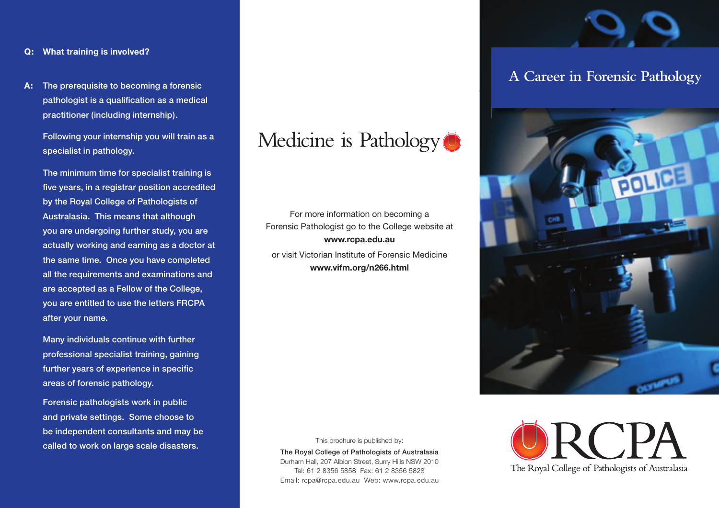#### **Q: What training is involved?**

**A:** The prerequisite to becoming a forensic pathologist is a qualification as a medical practitioner (including internship).

> Following your internship you will train as a specialist in pathology.

 The minimum time for specialist training is five years, in a registrar position accredited by the Royal College of Pathologists of Australasia. This means that although you are undergoing further study, you are actually working and earning as a doctor at the same time. Once you have completed all the requirements and examinations and are accepted as a Fellow of the College, you are entitled to use the letters FRCPA after your name.

 Many individuals continue with further professional specialist training, gaining further years of experience in specific areas of forensic pathology.

 Forensic pathologists work in public and private settings. Some choose to be independent consultants and may be called to work on large scale disasters.



For more information on becoming a Forensic Pathologist go to the College website at **www.rcpa.edu.au**

or visit Victorian Institute of Forensic Medicine **www.vifm.org/n266.html**



The Royal College of Pathologists of Australasia

This brochure is published by:

The Royal College of Pathologists of Australasia Durham Hall, 207 Albion Street, Surry Hills NSW 2010 Tel: 61 2 8356 5858 Fax: 61 2 8356 5828 Email: rcpa@rcpa.edu.au Web: www.rcpa.edu.au

## **A Career in Forensic Pathology**